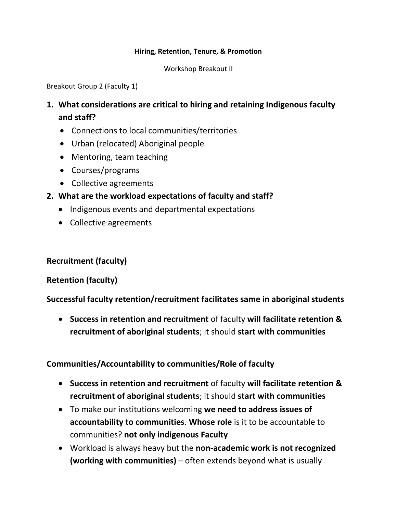#### **Hiring, Retention, Tenure, & Promotion**

Workshop Breakout II

Breakout Group 2 (Faculty 1)

- **1. What considerations are critical to hiring and retaining Indigenous faculty and staff?**
	- Connections to local communities/territories
	- Urban (relocated) Aboriginal people
	- Mentoring, team teaching
	- Courses/programs
	- Collective agreements
- **2. What are the workload expectations of faculty and staff?**
	- Indigenous events and departmental expectations
	- Collective agreements

**Recruitment (faculty)**

### **Retention (faculty)**

**Successful faculty retention/recruitment facilitates same in aboriginal students**

 **Success in retention and recruitment** of faculty **will facilitate retention & recruitment of aboriginal students**; it should **start with communities**

### **Communities/Accountability to communities/Role of faculty**

- **Success in retention and recruitment** of faculty **will facilitate retention & recruitment of aboriginal students**; it should **start with communities**
- To make our institutions welcoming **we need to address issues of accountability to communities**. **Whose role** is it to be accountable to communities? **not only indigenous Faculty**
- Workload is always heavy but the **non-academic work is not recognized (working with communities)** – often extends beyond what is usually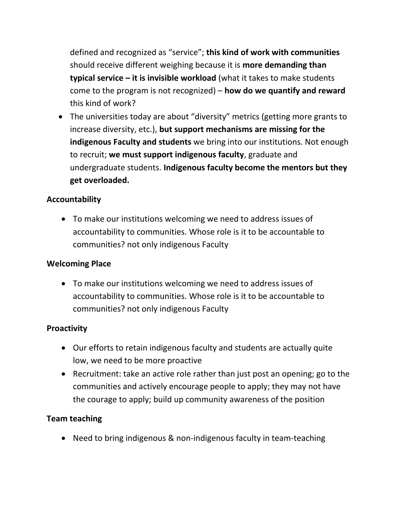defined and recognized as "service"; **this kind of work with communities** should receive different weighing because it is **more demanding than typical service – it is invisible workload** (what it takes to make students come to the program is not recognized) – **how do we quantify and reward** this kind of work?

 The universities today are about "diversity" metrics (getting more grants to increase diversity, etc.), **but support mechanisms are missing for the indigenous Faculty and students** we bring into our institutions. Not enough to recruit; **we must support indigenous faculty**, graduate and undergraduate students. **Indigenous faculty become the mentors but they get overloaded.** 

# **Accountability**

 To make our institutions welcoming we need to address issues of accountability to communities. Whose role is it to be accountable to communities? not only indigenous Faculty

# **Welcoming Place**

 To make our institutions welcoming we need to address issues of accountability to communities. Whose role is it to be accountable to communities? not only indigenous Faculty

# **Proactivity**

- Our efforts to retain indigenous faculty and students are actually quite low, we need to be more proactive
- Recruitment: take an active role rather than just post an opening; go to the communities and actively encourage people to apply; they may not have the courage to apply; build up community awareness of the position

# **Team teaching**

Need to bring indigenous & non-indigenous faculty in team-teaching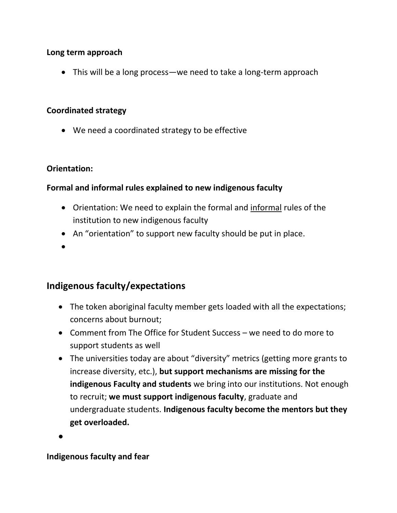### **Long term approach**

• This will be a long process—we need to take a long-term approach

### **Coordinated strategy**

We need a coordinated strategy to be effective

## **Orientation:**

## **Formal and informal rules explained to new indigenous faculty**

- Orientation: We need to explain the formal and informal rules of the institution to new indigenous faculty
- An "orientation" to support new faculty should be put in place.
- $\bullet$

# **Indigenous faculty/expectations**

- The token aboriginal faculty member gets loaded with all the expectations; concerns about burnout;
- Comment from The Office for Student Success we need to do more to support students as well
- The universities today are about "diversity" metrics (getting more grants to increase diversity, etc.), **but support mechanisms are missing for the indigenous Faculty and students** we bring into our institutions. Not enough to recruit; **we must support indigenous faculty**, graduate and undergraduate students. **Indigenous faculty become the mentors but they get overloaded.**

 $\bullet$ 

# **Indigenous faculty and fear**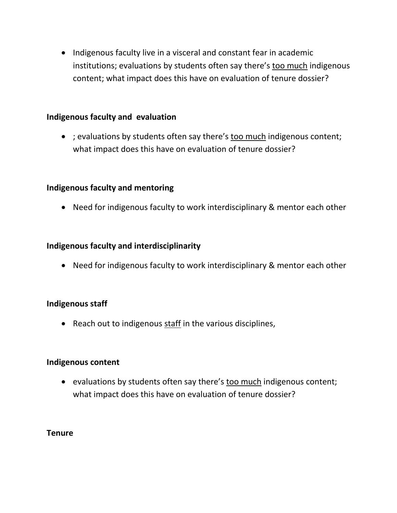• Indigenous faculty live in a visceral and constant fear in academic institutions; evaluations by students often say there's too much indigenous content; what impact does this have on evaluation of tenure dossier?

#### **Indigenous faculty and evaluation**

• ; evaluations by students often say there's too much indigenous content; what impact does this have on evaluation of tenure dossier?

#### **Indigenous faculty and mentoring**

Need for indigenous faculty to work interdisciplinary & mentor each other

#### **Indigenous faculty and interdisciplinarity**

• Need for indigenous faculty to work interdisciplinary & mentor each other

### **Indigenous staff**

• Reach out to indigenous staff in the various disciplines,

#### **Indigenous content**

• evaluations by students often say there's too much indigenous content; what impact does this have on evaluation of tenure dossier?

#### **Tenure**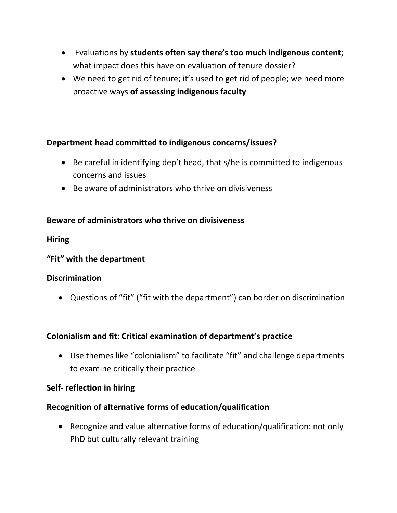- Evaluations by **students often say there's too much indigenous content**; what impact does this have on evaluation of tenure dossier?
- We need to get rid of tenure; it's used to get rid of people; we need more proactive ways **of assessing indigenous faculty**

### **Department head committed to indigenous concerns/issues?**

- Be careful in identifying dep't head, that s/he is committed to indigenous concerns and issues
- Be aware of administrators who thrive on divisiveness

## **Beware of administrators who thrive on divisiveness**

**Hiring**

### **"Fit" with the department**

### **Discrimination**

Questions of "fit" ("fit with the department") can border on discrimination

# **Colonialism and fit: Critical examination of department's practice**

 Use themes like "colonialism" to facilitate "fit" and challenge departments to examine critically their practice

### **Self- reflection in hiring**

# **Recognition of alternative forms of education/qualification**

 Recognize and value alternative forms of education/qualification: not only PhD but culturally relevant training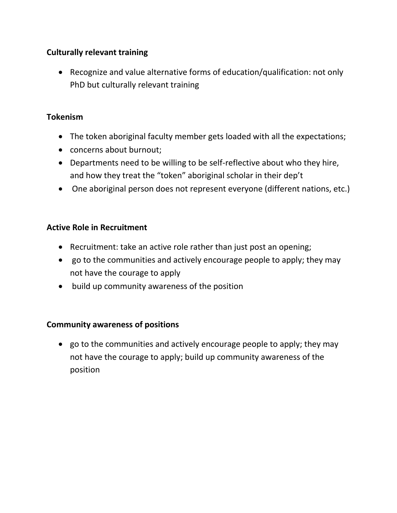# **Culturally relevant training**

 Recognize and value alternative forms of education/qualification: not only PhD but culturally relevant training

#### **Tokenism**

- The token aboriginal faculty member gets loaded with all the expectations;
- concerns about burnout;
- Departments need to be willing to be self-reflective about who they hire, and how they treat the "token" aboriginal scholar in their dep't
- One aboriginal person does not represent everyone (different nations, etc.)

#### **Active Role in Recruitment**

- Recruitment: take an active role rather than just post an opening;
- go to the communities and actively encourage people to apply; they may not have the courage to apply
- build up community awareness of the position

#### **Community awareness of positions**

 go to the communities and actively encourage people to apply; they may not have the courage to apply; build up community awareness of the position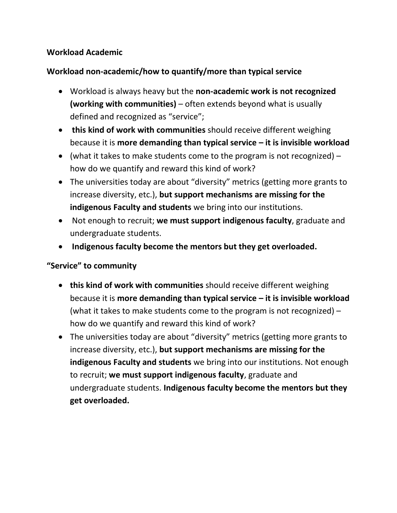# **Workload Academic**

# **Workload non-academic/how to quantify/more than typical service**

- Workload is always heavy but the **non-academic work is not recognized (working with communities)** – often extends beyond what is usually defined and recognized as "service";
- **this kind of work with communities** should receive different weighing because it is **more demanding than typical service – it is invisible workload**
- (what it takes to make students come to the program is not recognized)  $$ how do we quantify and reward this kind of work?
- The universities today are about "diversity" metrics (getting more grants to increase diversity, etc.), **but support mechanisms are missing for the indigenous Faculty and students** we bring into our institutions.
- Not enough to recruit; **we must support indigenous faculty**, graduate and undergraduate students.
- **Indigenous faculty become the mentors but they get overloaded.**

### **"Service" to community**

- **this kind of work with communities** should receive different weighing because it is **more demanding than typical service – it is invisible workload** (what it takes to make students come to the program is not recognized) – how do we quantify and reward this kind of work?
- The universities today are about "diversity" metrics (getting more grants to increase diversity, etc.), **but support mechanisms are missing for the indigenous Faculty and students** we bring into our institutions. Not enough to recruit; **we must support indigenous faculty**, graduate and undergraduate students. **Indigenous faculty become the mentors but they get overloaded.**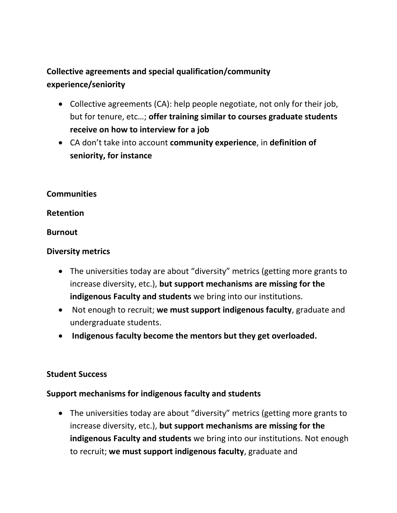# **Collective agreements and special qualification/community experience/seniority**

- Collective agreements (CA): help people negotiate, not only for their job, but for tenure, etc…; **offer training similar to courses graduate students receive on how to interview for a job**
- CA don't take into account **community experience**, in **definition of seniority, for instance**

#### **Communities**

#### **Retention**

#### **Burnout**

### **Diversity metrics**

- The universities today are about "diversity" metrics (getting more grants to increase diversity, etc.), **but support mechanisms are missing for the indigenous Faculty and students** we bring into our institutions.
- Not enough to recruit; **we must support indigenous faculty**, graduate and undergraduate students.
- **Indigenous faculty become the mentors but they get overloaded.**

### **Student Success**

### **Support mechanisms for indigenous faculty and students**

 The universities today are about "diversity" metrics (getting more grants to increase diversity, etc.), **but support mechanisms are missing for the indigenous Faculty and students** we bring into our institutions. Not enough to recruit; **we must support indigenous faculty**, graduate and